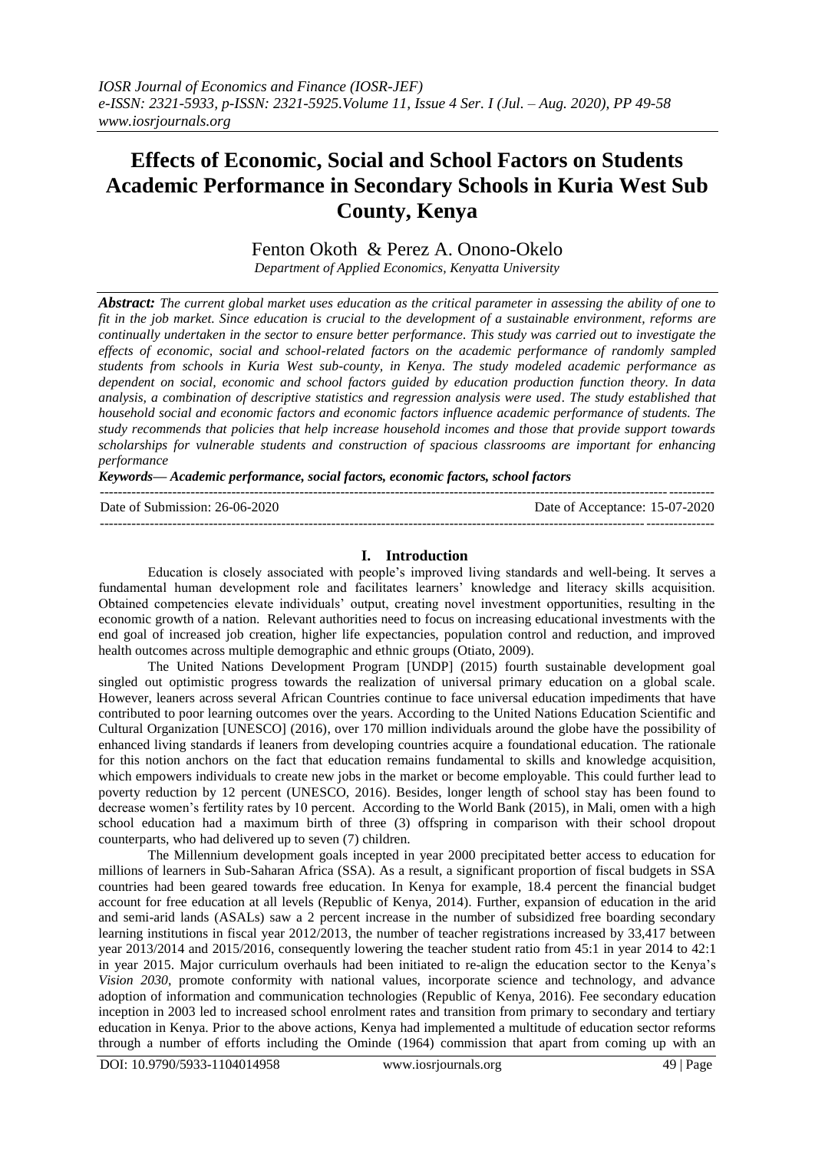# **Effects of Economic, Social and School Factors on Students Academic Performance in Secondary Schools in Kuria West Sub County, Kenya**

Fenton Okoth & Perez A. Onono-Okelo

*Department of Applied Economics, Kenyatta University*

*Abstract: The current global market uses education as the critical parameter in assessing the ability of one to fit in the job market. Since education is crucial to the development of a sustainable environment, reforms are continually undertaken in the sector to ensure better performance. This study was carried out to investigate the effects of economic, social and school-related factors on the academic performance of randomly sampled students from schools in Kuria West sub-county, in Kenya. The study modeled academic performance as dependent on social, economic and school factors guided by education production function theory. In data analysis, a combination of descriptive statistics and regression analysis were used. The study established that household social and economic factors and economic factors influence academic performance of students. The study recommends that policies that help increase household incomes and those that provide support towards scholarships for vulnerable students and construction of spacious classrooms are important for enhancing performance*

*Keywords— Academic performance, social factors, economic factors, school factors*

| Date of Submission: 26-06-2020 | Date of Acceptance: 15-07-2020 |
|--------------------------------|--------------------------------|
|                                |                                |

### **I. Introduction**

Education is closely associated with people's improved living standards and well-being. It serves a fundamental human development role and facilitates learners' knowledge and literacy skills acquisition. Obtained competencies elevate individuals' output, creating novel investment opportunities, resulting in the economic growth of a nation. Relevant authorities need to focus on increasing educational investments with the end goal of increased job creation, higher life expectancies, population control and reduction, and improved health outcomes across multiple demographic and ethnic groups (Otiato, 2009).

The United Nations Development Program [UNDP] (2015) fourth sustainable development goal singled out optimistic progress towards the realization of universal primary education on a global scale. However, leaners across several African Countries continue to face universal education impediments that have contributed to poor learning outcomes over the years. According to the United Nations Education Scientific and Cultural Organization [UNESCO] (2016), over 170 million individuals around the globe have the possibility of enhanced living standards if leaners from developing countries acquire a foundational education. The rationale for this notion anchors on the fact that education remains fundamental to skills and knowledge acquisition, which empowers individuals to create new jobs in the market or become employable. This could further lead to poverty reduction by 12 percent (UNESCO, 2016). Besides, longer length of school stay has been found to decrease women's fertility rates by 10 percent. According to the World Bank (2015), in Mali, omen with a high school education had a maximum birth of three (3) offspring in comparison with their school dropout counterparts, who had delivered up to seven (7) children.

The Millennium development goals incepted in year 2000 precipitated better access to education for millions of learners in Sub-Saharan Africa (SSA). As a result, a significant proportion of fiscal budgets in SSA countries had been geared towards free education. In Kenya for example, 18.4 percent the financial budget account for free education at all levels (Republic of Kenya, 2014). Further, expansion of education in the arid and semi-arid lands (ASALs) saw a 2 percent increase in the number of subsidized free boarding secondary learning institutions in fiscal year 2012/2013, the number of teacher registrations increased by 33,417 between year 2013/2014 and 2015/2016, consequently lowering the teacher student ratio from 45:1 in year 2014 to 42:1 in year 2015. Major curriculum overhauls had been initiated to re-align the education sector to the Kenya's *Vision 2030*, promote conformity with national values, incorporate science and technology, and advance adoption of information and communication technologies (Republic of Kenya, 2016). Fee secondary education inception in 2003 led to increased school enrolment rates and transition from primary to secondary and tertiary education in Kenya. Prior to the above actions, Kenya had implemented a multitude of education sector reforms through a number of efforts including the Ominde (1964) commission that apart from coming up with an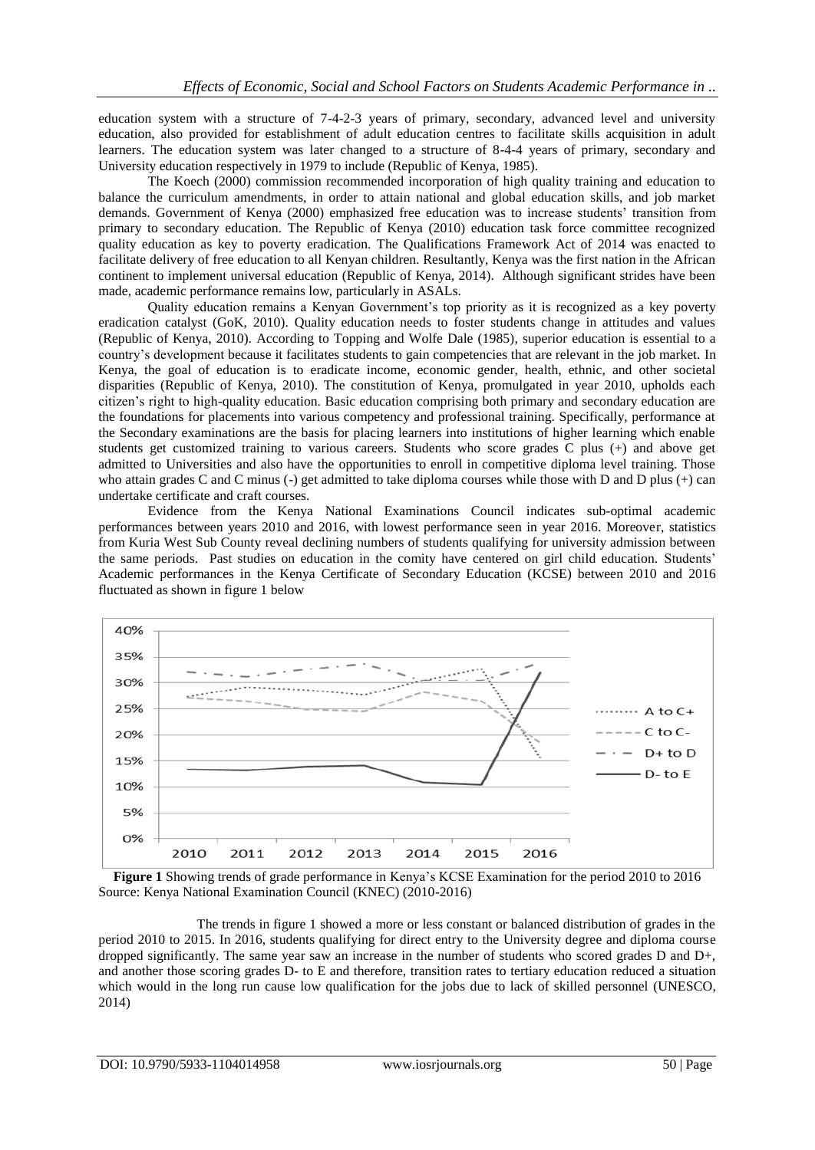education system with a structure of 7-4-2-3 years of primary, secondary, advanced level and university education, also provided for establishment of adult education centres to facilitate skills acquisition in adult learners. The education system was later changed to a structure of 8-4-4 years of primary, secondary and University education respectively in 1979 to include (Republic of Kenya, 1985).

The Koech (2000) commission recommended incorporation of high quality training and education to balance the curriculum amendments, in order to attain national and global education skills, and job market demands. Government of Kenya (2000) emphasized free education was to increase students' transition from primary to secondary education. The Republic of Kenya (2010) education task force committee recognized quality education as key to poverty eradication. The Qualifications Framework Act of 2014 was enacted to facilitate delivery of free education to all Kenyan children. Resultantly, Kenya was the first nation in the African continent to implement universal education (Republic of Kenya, 2014). Although significant strides have been made, academic performance remains low, particularly in ASALs.

Quality education remains a Kenyan Government's top priority as it is recognized as a key poverty eradication catalyst (GoK, 2010). Quality education needs to foster students change in attitudes and values (Republic of Kenya, 2010). According to Topping and Wolfe Dale (1985), superior education is essential to a country's development because it facilitates students to gain competencies that are relevant in the job market. In Kenya, the goal of education is to eradicate income, economic gender, health, ethnic, and other societal disparities (Republic of Kenya, 2010). The constitution of Kenya, promulgated in year 2010, upholds each citizen's right to high-quality education. Basic education comprising both primary and secondary education are the foundations for placements into various competency and professional training. Specifically, performance at the Secondary examinations are the basis for placing learners into institutions of higher learning which enable students get customized training to various careers. Students who score grades C plus (+) and above get admitted to Universities and also have the opportunities to enroll in competitive diploma level training. Those who attain grades C and C minus (-) get admitted to take diploma courses while those with D and D plus (+) can undertake certificate and craft courses.

Evidence from the Kenya National Examinations Council indicates sub-optimal academic performances between years 2010 and 2016, with lowest performance seen in year 2016. Moreover, statistics from Kuria West Sub County reveal declining numbers of students qualifying for university admission between the same periods. Past studies on education in the comity have centered on girl child education. Students' Academic performances in the Kenya Certificate of Secondary Education (KCSE) between 2010 and 2016 fluctuated as shown in figure 1 below



**Figure 1** Showing trends of grade performance in Kenya's KCSE Examination for the period 2010 to 2016 Source: Kenya National Examination Council (KNEC) (2010-2016)

The trends in figure 1 showed a more or less constant or balanced distribution of grades in the period 2010 to 2015. In 2016, students qualifying for direct entry to the University degree and diploma course dropped significantly. The same year saw an increase in the number of students who scored grades D and D+, and another those scoring grades D- to E and therefore, transition rates to tertiary education reduced a situation which would in the long run cause low qualification for the jobs due to lack of skilled personnel (UNESCO, 2014)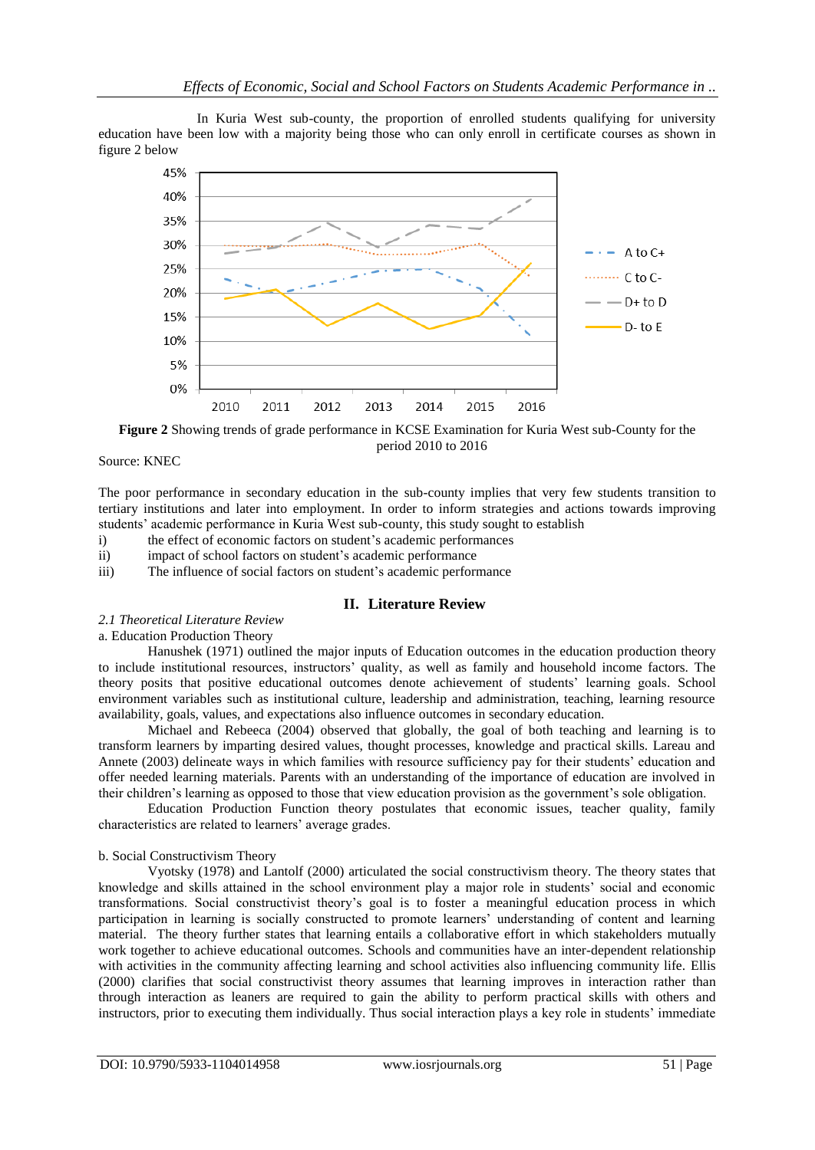In Kuria West sub-county, the proportion of enrolled students qualifying for university education have been low with a majority being those who can only enroll in certificate courses as shown in figure 2 below



**Figure 2** Showing trends of grade performance in KCSE Examination for Kuria West sub-County for the period 2010 to 2016

Source: KNEC

The poor performance in secondary education in the sub-county implies that very few students transition to tertiary institutions and later into employment. In order to inform strategies and actions towards improving students' academic performance in Kuria West sub-county, this study sought to establish

- i) the effect of economic factors on student's academic performances
- ii) impact of school factors on student's academic performance
- iii) The influence of social factors on student's academic performance

# **II. Literature Review**

*2.1 Theoretical Literature Review*

a. Education Production Theory

Hanushek (1971) outlined the major inputs of Education outcomes in the education production theory to include institutional resources, instructors' quality, as well as family and household income factors. The theory posits that positive educational outcomes denote achievement of students' learning goals. School environment variables such as institutional culture, leadership and administration, teaching, learning resource availability, goals, values, and expectations also influence outcomes in secondary education.

Michael and Rebeeca (2004) observed that globally, the goal of both teaching and learning is to transform learners by imparting desired values, thought processes, knowledge and practical skills. Lareau and Annete (2003) delineate ways in which families with resource sufficiency pay for their students' education and offer needed learning materials. Parents with an understanding of the importance of education are involved in their children's learning as opposed to those that view education provision as the government's sole obligation.

Education Production Function theory postulates that economic issues, teacher quality, family characteristics are related to learners' average grades.

#### b. Social Constructivism Theory

Vyotsky (1978) and Lantolf (2000) articulated the social constructivism theory. The theory states that knowledge and skills attained in the school environment play a major role in students' social and economic transformations. Social constructivist theory's goal is to foster a meaningful education process in which participation in learning is socially constructed to promote learners' understanding of content and learning material. The theory further states that learning entails a collaborative effort in which stakeholders mutually work together to achieve educational outcomes. Schools and communities have an inter-dependent relationship with activities in the community affecting learning and school activities also influencing community life. Ellis (2000) clarifies that social constructivist theory assumes that learning improves in interaction rather than through interaction as leaners are required to gain the ability to perform practical skills with others and instructors, prior to executing them individually. Thus social interaction plays a key role in students' immediate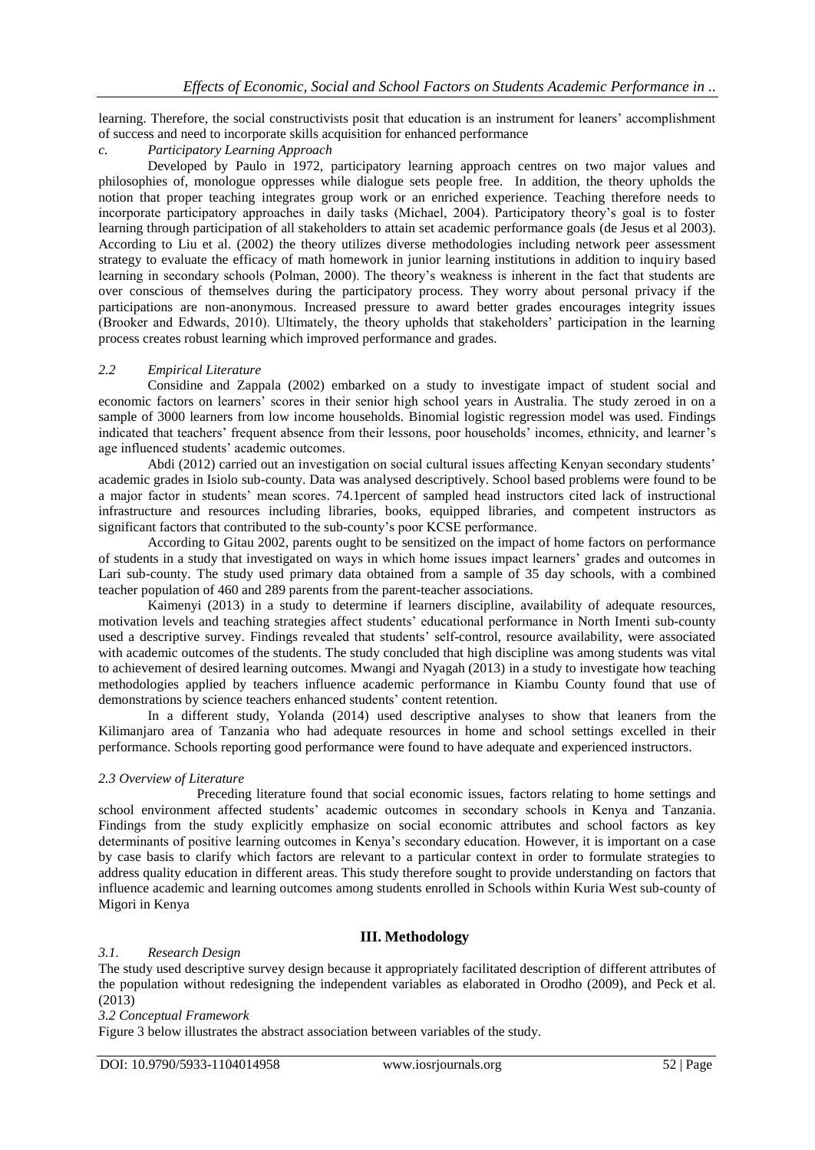learning. Therefore, the social constructivists posit that education is an instrument for leaners' accomplishment of success and need to incorporate skills acquisition for enhanced performance

# *c. Participatory Learning Approach*

Developed by Paulo in 1972, participatory learning approach centres on two major values and philosophies of, monologue oppresses while dialogue sets people free. In addition, the theory upholds the notion that proper teaching integrates group work or an enriched experience. Teaching therefore needs to incorporate participatory approaches in daily tasks (Michael, 2004). Participatory theory's goal is to foster learning through participation of all stakeholders to attain set academic performance goals (de Jesus et al 2003). According to Liu et al. (2002) the theory utilizes diverse methodologies including network peer assessment strategy to evaluate the efficacy of math homework in junior learning institutions in addition to inquiry based learning in secondary schools (Polman, 2000). The theory's weakness is inherent in the fact that students are over conscious of themselves during the participatory process. They worry about personal privacy if the participations are non-anonymous. Increased pressure to award better grades encourages integrity issues (Brooker and Edwards, 2010). Ultimately, the theory upholds that stakeholders' participation in the learning process creates robust learning which improved performance and grades.

### *2.2 Empirical Literature*

Considine and Zappala (2002) embarked on a study to investigate impact of student social and economic factors on learners' scores in their senior high school years in Australia. The study zeroed in on a sample of 3000 learners from low income households. Binomial logistic regression model was used. Findings indicated that teachers' frequent absence from their lessons, poor households' incomes, ethnicity, and learner's age influenced students' academic outcomes.

Abdi (2012) carried out an investigation on social cultural issues affecting Kenyan secondary students' academic grades in Isiolo sub-county. Data was analysed descriptively. School based problems were found to be a major factor in students' mean scores. 74.1percent of sampled head instructors cited lack of instructional infrastructure and resources including libraries, books, equipped libraries, and competent instructors as significant factors that contributed to the sub-county's poor KCSE performance.

According to Gitau 2002, parents ought to be sensitized on the impact of home factors on performance of students in a study that investigated on ways in which home issues impact learners' grades and outcomes in Lari sub-county. The study used primary data obtained from a sample of 35 day schools, with a combined teacher population of 460 and 289 parents from the parent-teacher associations.

Kaimenyi (2013) in a study to determine if learners discipline, availability of adequate resources, motivation levels and teaching strategies affect students' educational performance in North Imenti sub-county used a descriptive survey. Findings revealed that students' self-control, resource availability, were associated with academic outcomes of the students. The study concluded that high discipline was among students was vital to achievement of desired learning outcomes. Mwangi and Nyagah (2013) in a study to investigate how teaching methodologies applied by teachers influence academic performance in Kiambu County found that use of demonstrations by science teachers enhanced students' content retention.

In a different study, Yolanda (2014) used descriptive analyses to show that leaners from the Kilimanjaro area of Tanzania who had adequate resources in home and school settings excelled in their performance. Schools reporting good performance were found to have adequate and experienced instructors.

#### *2.3 Overview of Literature*

Preceding literature found that social economic issues, factors relating to home settings and school environment affected students' academic outcomes in secondary schools in Kenya and Tanzania. Findings from the study explicitly emphasize on social economic attributes and school factors as key determinants of positive learning outcomes in Kenya's secondary education. However, it is important on a case by case basis to clarify which factors are relevant to a particular context in order to formulate strategies to address quality education in different areas. This study therefore sought to provide understanding on factors that influence academic and learning outcomes among students enrolled in Schools within Kuria West sub-county of Migori in Kenya

# **III. Methodology**

#### *3.1. Research Design*

The study used descriptive survey design because it appropriately facilitated description of different attributes of the population without redesigning the independent variables as elaborated in Orodho (2009), and Peck et al. (2013)

#### *3.2 Conceptual Framework*

Figure 3 below illustrates the abstract association between variables of the study.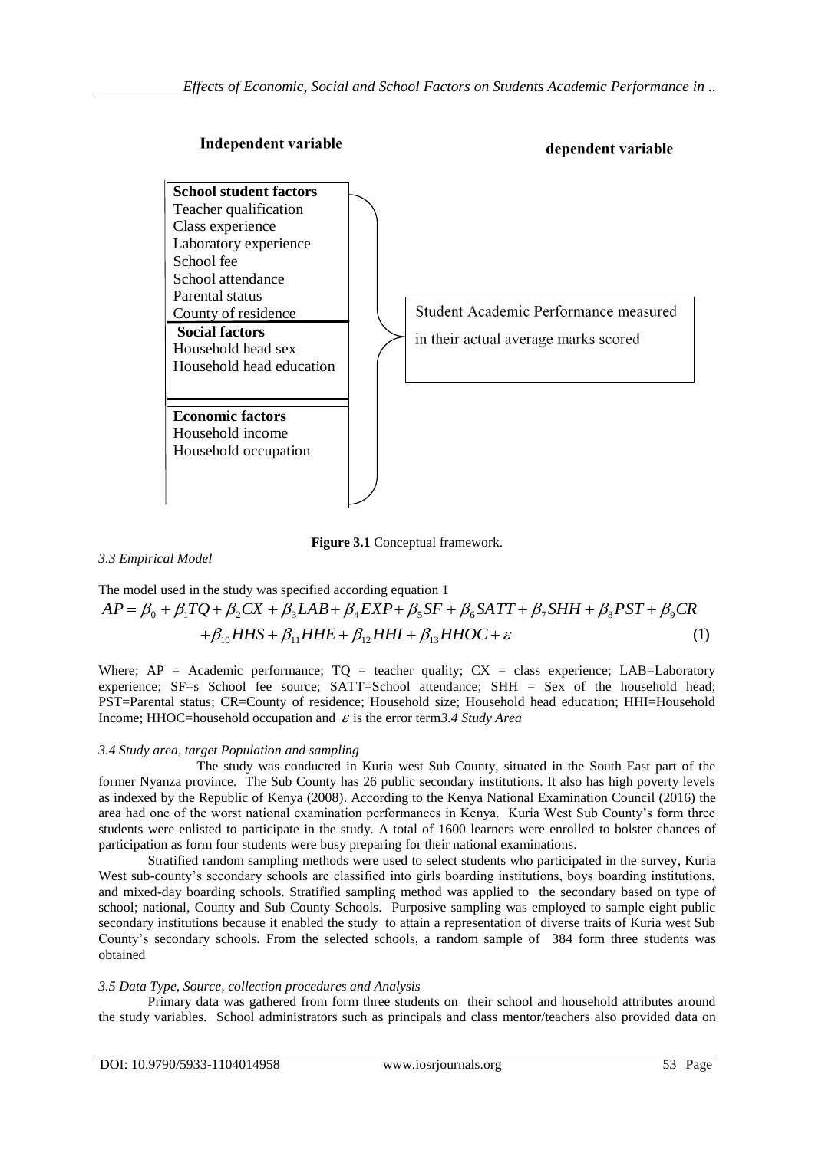

**Figure 3.1** Conceptual framework.

*3.3 Empirical Model*

The model used in the study was specified according equation 1 (1)  $+\beta_{10}HHS + \beta_{11}HHE + \beta_{12}HHI + \beta_{13}HHOC + \varepsilon$  $= \beta_0 + \beta_1 TQ + \beta_2 CX + \beta_3 LAB + \beta_4 EXP + \beta_5 SF + \beta_6 SAT + \beta_7 SHH + \beta_8 PST + \beta_9$ *A A Empirical Model*<br> *AP* =  $\beta_0$  +  $\beta_1 TQ + \beta_2 CX + \beta_3 LAB + \beta_4 EXP + \beta_5 SF + \beta_6 SAT + \beta_7 SHH + \beta_8 PST + \beta_9 CR$ <br>  $\beta_0 + \beta_1 TQ + \beta_2 CX + \beta_3 LAB + \beta_4 EXP + \beta_5 SF + \beta_6 SAT + \beta_7 SHH + \beta_8 PST + \beta_9 CR$ <br>  $\beta_1 HHS + \beta_1 HHS + \beta_1 HHI + \beta_1 HHO + \beta_1 HHO + \beta_1 HHO + \beta_2 HHO + \beta_$ 

Where:  $AP = Academic performance$ ;  $TO = teacher quality$ ;  $CX = class experience$ ; LAB=Laboratory experience; SF=s School fee source; SATT=School attendance; SHH = Sex of the household head; PST=Parental status; CR=County of residence; Household size; Household head education; HHI=Household Income; HHOC=household occupation and  $\varepsilon$  is the error term*3.4 Study Area* 

# *3.4 Study area, target Population and sampling*

The study was conducted in Kuria west Sub County, situated in the South East part of the former Nyanza province. The Sub County has 26 public secondary institutions. It also has high poverty levels as indexed by the Republic of Kenya (2008). According to the Kenya National Examination Council (2016) the area had one of the worst national examination performances in Kenya. Kuria West Sub County's form three students were enlisted to participate in the study. A total of 1600 learners were enrolled to bolster chances of participation as form four students were busy preparing for their national examinations.

Stratified random sampling methods were used to select students who participated in the survey, Kuria West sub-county's secondary schools are classified into girls boarding institutions, boys boarding institutions, and mixed-day boarding schools. Stratified sampling method was applied to the secondary based on type of school; national, County and Sub County Schools. Purposive sampling was employed to sample eight public secondary institutions because it enabled the study to attain a representation of diverse traits of Kuria west Sub County's secondary schools. From the selected schools, a random sample of 384 form three students was obtained

# *3.5 Data Type, Source, collection procedures and Analysis*

Primary data was gathered from form three students on their school and household attributes around the study variables. School administrators such as principals and class mentor/teachers also provided data on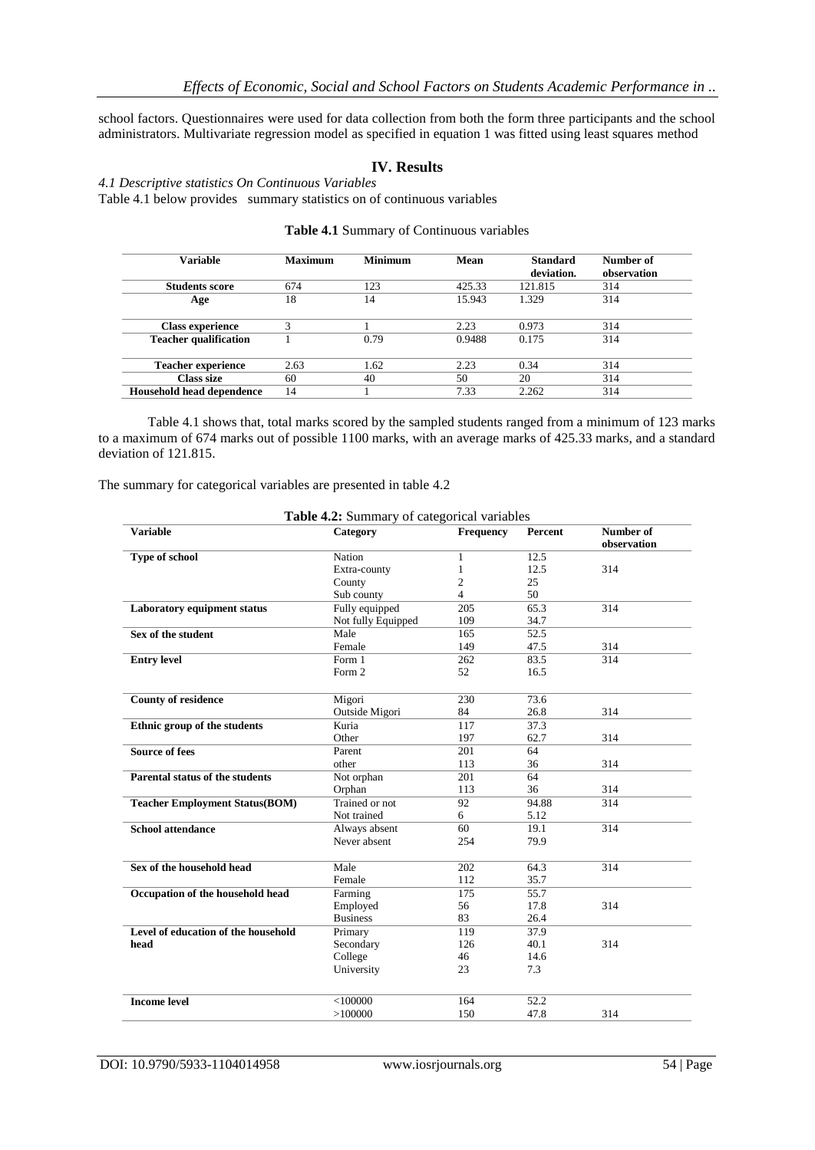school factors. Questionnaires were used for data collection from both the form three participants and the school administrators. Multivariate regression model as specified in equation 1 was fitted using least squares method

# **IV. Results**

*4.1 Descriptive statistics On Continuous Variables* 

Table 4.1 below provides summary statistics on of continuous variables

| <b>Variable</b>              | <b>Maximum</b> | <b>Minimum</b> | Mean   | <b>Standard</b><br>deviation. | Number of<br>observation |
|------------------------------|----------------|----------------|--------|-------------------------------|--------------------------|
| <b>Students score</b>        | 674            | 123            | 425.33 | 121.815                       | 314                      |
| Age                          | 18             | 14             | 15.943 | 1.329                         | 314                      |
| <b>Class experience</b>      |                |                | 2.23   | 0.973                         | 314                      |
| <b>Teacher qualification</b> |                | 0.79           | 0.9488 | 0.175                         | 314                      |
| <b>Teacher experience</b>    | 2.63           | 1.62           | 2.23   | 0.34                          | 314                      |
| Class size                   | 60             | 40             | 50     | 20                            | 314                      |
| Household head dependence    | 14             |                | 7.33   | 2.262                         | 314                      |

#### **Table 4.1** Summary of Continuous variables

Table 4.1 shows that, total marks scored by the sampled students ranged from a minimum of 123 marks to a maximum of 674 marks out of possible 1100 marks, with an average marks of 425.33 marks, and a standard deviation of 121.815.

The summary for categorical variables are presented in table 4.2

| <b>Variable</b>                       | Table 4.2: Summary of categorical variables<br>Category | Frequency        | Percent         | Number of   |
|---------------------------------------|---------------------------------------------------------|------------------|-----------------|-------------|
|                                       |                                                         |                  |                 | observation |
| Type of school                        | Nation                                                  | $\mathbf{1}$     | 12.5            |             |
|                                       | Extra-county                                            | 1                | 12.5            | 314         |
|                                       | County                                                  | 2                | 25              |             |
|                                       | Sub county                                              | 4                | 50              |             |
| <b>Laboratory equipment status</b>    | Fully equipped                                          | 205              | 65.3            | 314         |
|                                       | Not fully Equipped                                      | 109              | 34.7            |             |
| Sex of the student                    | Male                                                    | 165              | 52.5            |             |
|                                       | Female                                                  | 149              | 47.5            | 314         |
| <b>Entry level</b>                    | Form 1                                                  | 262              | 83.5            | 314         |
|                                       | Form 2                                                  | 52               | 16.5            |             |
|                                       |                                                         |                  |                 |             |
| <b>County of residence</b>            | Migori                                                  | 230              | 73.6            |             |
|                                       | Outside Migori                                          | 84               | 26.8            | 314         |
| Ethnic group of the students          | Kuria                                                   | 117              | 37.3            |             |
|                                       | Other                                                   | 197              | 62.7            | 314         |
| <b>Source of fees</b>                 | Parent                                                  | 201              | 64              |             |
|                                       | other                                                   | 113              | 36              | 314         |
| Parental status of the students       | Not orphan                                              | $\overline{201}$ | $\overline{64}$ |             |
|                                       | Orphan                                                  | 113              | 36              | 314         |
| <b>Teacher Employment Status(BOM)</b> | Trained or not                                          | 92               | 94.88           | 314         |
|                                       | Not trained                                             | 6                | 5.12            |             |
| <b>School attendance</b>              | Always absent                                           | 60               | 19.1            | 314         |
|                                       | Never absent                                            | 254              | 79.9            |             |
|                                       |                                                         |                  |                 |             |
| Sex of the household head             | Male                                                    | 202              | 64.3            | 314         |
|                                       | Female                                                  | 112              | 35.7            |             |
| Occupation of the household head      | Farming                                                 | 175              | 55.7            |             |
|                                       | Employed                                                | 56               | 17.8            | 314         |
|                                       | <b>Business</b>                                         | 83               | 26.4            |             |
| Level of education of the household   | Primary                                                 | 119              | 37.9            |             |
| head                                  | Secondary                                               | 126              | 40.1            | 314         |
|                                       | College                                                 | 46               | 14.6            |             |
|                                       | University                                              | 23               | 7.3             |             |
|                                       |                                                         |                  |                 |             |
|                                       |                                                         |                  |                 |             |
| <b>Income level</b>                   | $<$ 100000                                              | 164              | 52.2            |             |
|                                       | >100000                                                 | 150              | 47.8            | 314         |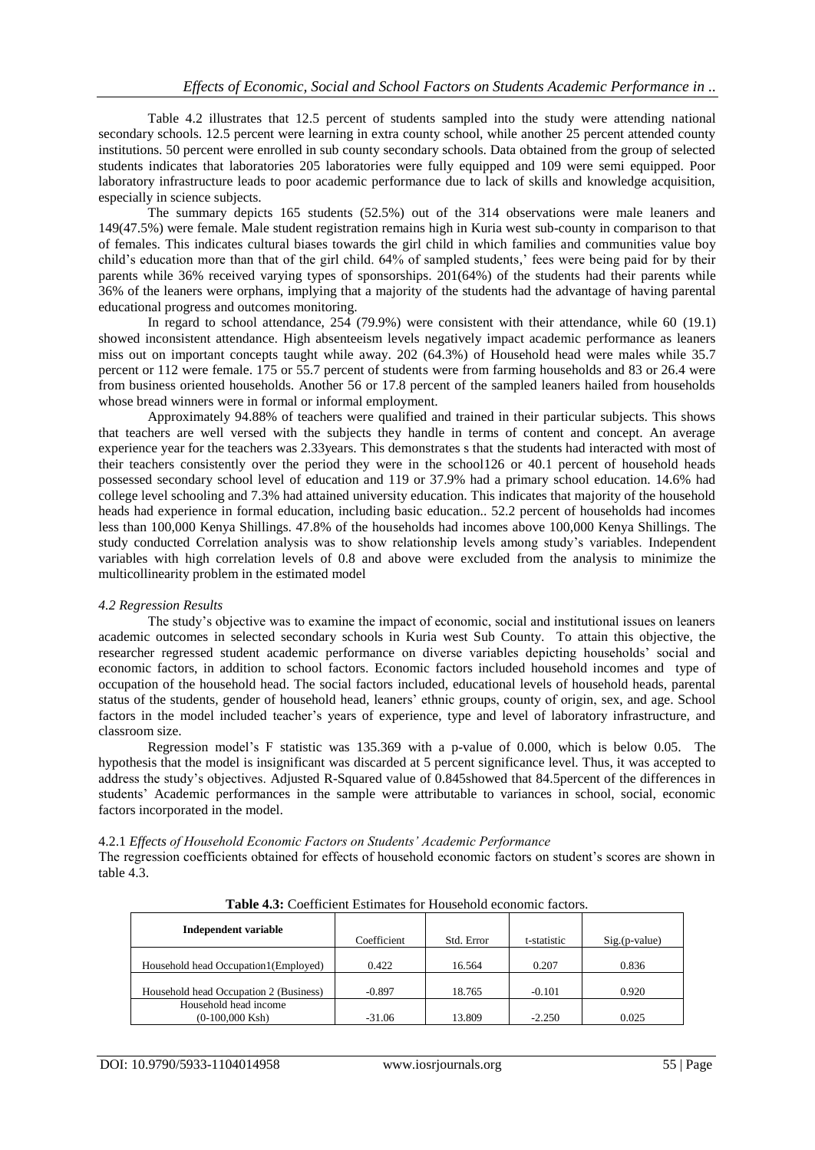Table 4.2 illustrates that 12.5 percent of students sampled into the study were attending national secondary schools. 12.5 percent were learning in extra county school, while another 25 percent attended county institutions. 50 percent were enrolled in sub county secondary schools. Data obtained from the group of selected students indicates that laboratories 205 laboratories were fully equipped and 109 were semi equipped. Poor laboratory infrastructure leads to poor academic performance due to lack of skills and knowledge acquisition, especially in science subjects.

The summary depicts 165 students (52.5%) out of the 314 observations were male leaners and 149(47.5%) were female. Male student registration remains high in Kuria west sub-county in comparison to that of females. This indicates cultural biases towards the girl child in which families and communities value boy child's education more than that of the girl child. 64% of sampled students,' fees were being paid for by their parents while 36% received varying types of sponsorships. 201(64%) of the students had their parents while 36% of the leaners were orphans, implying that a majority of the students had the advantage of having parental educational progress and outcomes monitoring.

In regard to school attendance, 254 (79.9%) were consistent with their attendance, while 60 (19.1) showed inconsistent attendance. High absenteeism levels negatively impact academic performance as leaners miss out on important concepts taught while away. 202 (64.3%) of Household head were males while 35.7 percent or 112 were female. 175 or 55.7 percent of students were from farming households and 83 or 26.4 were from business oriented households. Another 56 or 17.8 percent of the sampled leaners hailed from households whose bread winners were in formal or informal employment.

Approximately 94.88% of teachers were qualified and trained in their particular subjects. This shows that teachers are well versed with the subjects they handle in terms of content and concept. An average experience year for the teachers was 2.33years. This demonstrates s that the students had interacted with most of their teachers consistently over the period they were in the school126 or 40.1 percent of household heads possessed secondary school level of education and 119 or 37.9% had a primary school education. 14.6% had college level schooling and 7.3% had attained university education. This indicates that majority of the household heads had experience in formal education, including basic education.. 52.2 percent of households had incomes less than 100,000 Kenya Shillings. 47.8% of the households had incomes above 100,000 Kenya Shillings. The study conducted Correlation analysis was to show relationship levels among study's variables. Independent variables with high correlation levels of 0.8 and above were excluded from the analysis to minimize the multicollinearity problem in the estimated model

#### *4.2 Regression Results*

The study's objective was to examine the impact of economic, social and institutional issues on leaners academic outcomes in selected secondary schools in Kuria west Sub County. To attain this objective, the researcher regressed student academic performance on diverse variables depicting households' social and economic factors, in addition to school factors. Economic factors included household incomes and type of occupation of the household head. The social factors included, educational levels of household heads, parental status of the students, gender of household head, leaners' ethnic groups, county of origin, sex, and age. School factors in the model included teacher's years of experience, type and level of laboratory infrastructure, and classroom size.

Regression model's F statistic was 135.369 with a p-value of 0.000, which is below 0.05. The hypothesis that the model is insignificant was discarded at 5 percent significance level. Thus, it was accepted to address the study's objectives. Adjusted R-Squared value of 0.845showed that 84.5percent of the differences in students' Academic performances in the sample were attributable to variances in school, social, economic factors incorporated in the model.

4.2.1 *Effects of Household Economic Factors on Students' Academic Performance* The regression coefficients obtained for effects of household economic factors on student's scores are shown in table 4.3.

| <b>Table 4.5:</b> Coefficient estimates for Household economic factors. |             |            |             |                 |
|-------------------------------------------------------------------------|-------------|------------|-------------|-----------------|
| Independent variable                                                    | Coefficient | Std. Error | t-statistic | $Sig.(p-value)$ |
| Household head Occupation1(Employed)                                    | 0.422       | 16.564     | 0.207       | 0.836           |
| Household head Occupation 2 (Business)                                  | $-0.897$    | 18.765     | $-0.101$    | 0.920           |
| Household head income<br>$(0-100,000$ Ksh)                              | -31.06      | 13.809     | $-2.250$    | 0.025           |

**Table 4.3:** Coefficient Estimates for Household economic factors.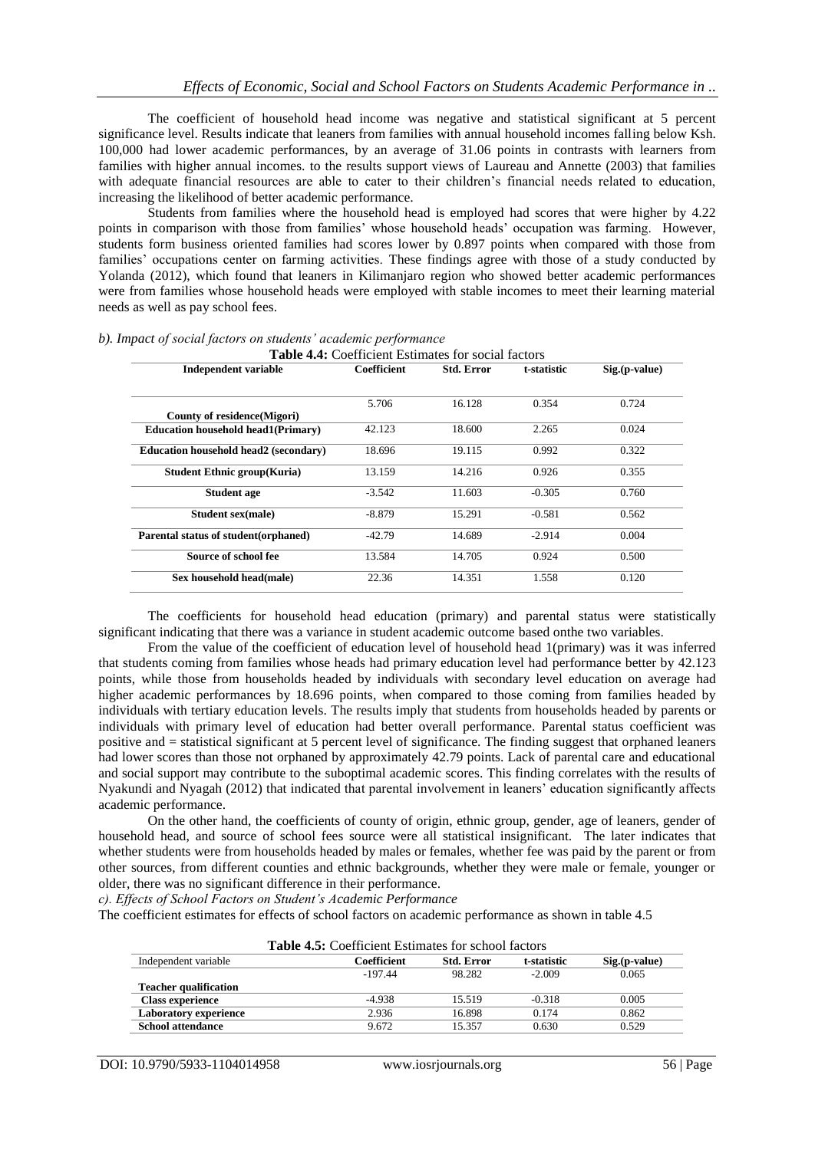The coefficient of household head income was negative and statistical significant at 5 percent significance level. Results indicate that leaners from families with annual household incomes falling below Ksh. 100,000 had lower academic performances, by an average of 31.06 points in contrasts with learners from families with higher annual incomes. to the results support views of Laureau and Annette (2003) that families with adequate financial resources are able to cater to their children's financial needs related to education, increasing the likelihood of better academic performance.

Students from families where the household head is employed had scores that were higher by 4.22 points in comparison with those from families' whose household heads' occupation was farming. However, students form business oriented families had scores lower by 0.897 points when compared with those from families' occupations center on farming activities. These findings agree with those of a study conducted by Yolanda (2012), which found that leaners in Kilimanjaro region who showed better academic performances were from families whose household heads were employed with stable incomes to meet their learning material needs as well as pay school fees.

| <b>Table 4.4:</b> Coefficient Estimates for social factors |             |                   |             |                 |
|------------------------------------------------------------|-------------|-------------------|-------------|-----------------|
| <b>Independent variable</b>                                | Coefficient | <b>Std. Error</b> | t-statistic | $Sig.(p-value)$ |
|                                                            | 5.706       | 16.128            | 0.354       | 0.724           |
| County of residence (Migori)                               |             |                   |             |                 |
| <b>Education household head1(Primary)</b>                  | 42.123      | 18.600            | 2.265       | 0.024           |
| <b>Education household head2 (secondary)</b>               | 18.696      | 19.115            | 0.992       | 0.322           |
| <b>Student Ethnic group(Kuria)</b>                         | 13.159      | 14.216            | 0.926       | 0.355           |
| <b>Student age</b>                                         | $-3.542$    | 11.603            | $-0.305$    | 0.760           |
| Student sex(male)                                          | $-8.879$    | 15.291            | $-0.581$    | 0.562           |
| Parental status of student (orphaned)                      | $-42.79$    | 14.689            | $-2.914$    | 0.004           |
| Source of school fee                                       | 13.584      | 14.705            | 0.924       | 0.500           |
| Sex household head(male)                                   | 22.36       | 14.351            | 1.558       | 0.120           |
|                                                            |             |                   |             |                 |

#### *b). Impact of social factors on students' academic performance*  $T_{\rm e}$ **ble 4.4:**  $C_{\rm e}$   $\sim$   $C_{\rm e}$

The coefficients for household head education (primary) and parental status were statistically significant indicating that there was a variance in student academic outcome based onthe two variables.

From the value of the coefficient of education level of household head 1(primary) was it was inferred that students coming from families whose heads had primary education level had performance better by 42.123 points, while those from households headed by individuals with secondary level education on average had higher academic performances by 18.696 points, when compared to those coming from families headed by individuals with tertiary education levels. The results imply that students from households headed by parents or individuals with primary level of education had better overall performance. Parental status coefficient was positive and = statistical significant at 5 percent level of significance. The finding suggest that orphaned leaners had lower scores than those not orphaned by approximately 42.79 points. Lack of parental care and educational and social support may contribute to the suboptimal academic scores. This finding correlates with the results of Nyakundi and Nyagah (2012) that indicated that parental involvement in leaners' education significantly affects academic performance.

On the other hand, the coefficients of county of origin, ethnic group, gender, age of leaners, gender of household head, and source of school fees source were all statistical insignificant. The later indicates that whether students were from households headed by males or females, whether fee was paid by the parent or from other sources, from different counties and ethnic backgrounds, whether they were male or female, younger or older, there was no significant difference in their performance.

*c). Effects of School Factors on Student's Academic Performance*

The coefficient estimates for effects of school factors on academic performance as shown in table 4.5

| <b>Table 4.5:</b> Coefficient Estimates for school factors |             |                   |             |                 |
|------------------------------------------------------------|-------------|-------------------|-------------|-----------------|
| Independent variable                                       | Coefficient | <b>Std. Error</b> | t-statistic | $Sig.(p-value)$ |
|                                                            | $-197.44$   | 98.282            | $-2.009$    | 0.065           |
| <b>Teacher qualification</b>                               |             |                   |             |                 |
| <b>Class experience</b>                                    | $-4.938$    | 15.519            | $-0.318$    | 0.005           |
| <b>Laboratory experience</b>                               | 2.936       | 16.898            | 0.174       | 0.862           |
| <b>School attendance</b>                                   | 9.672       | 15.357            | 0.630       | 0.529           |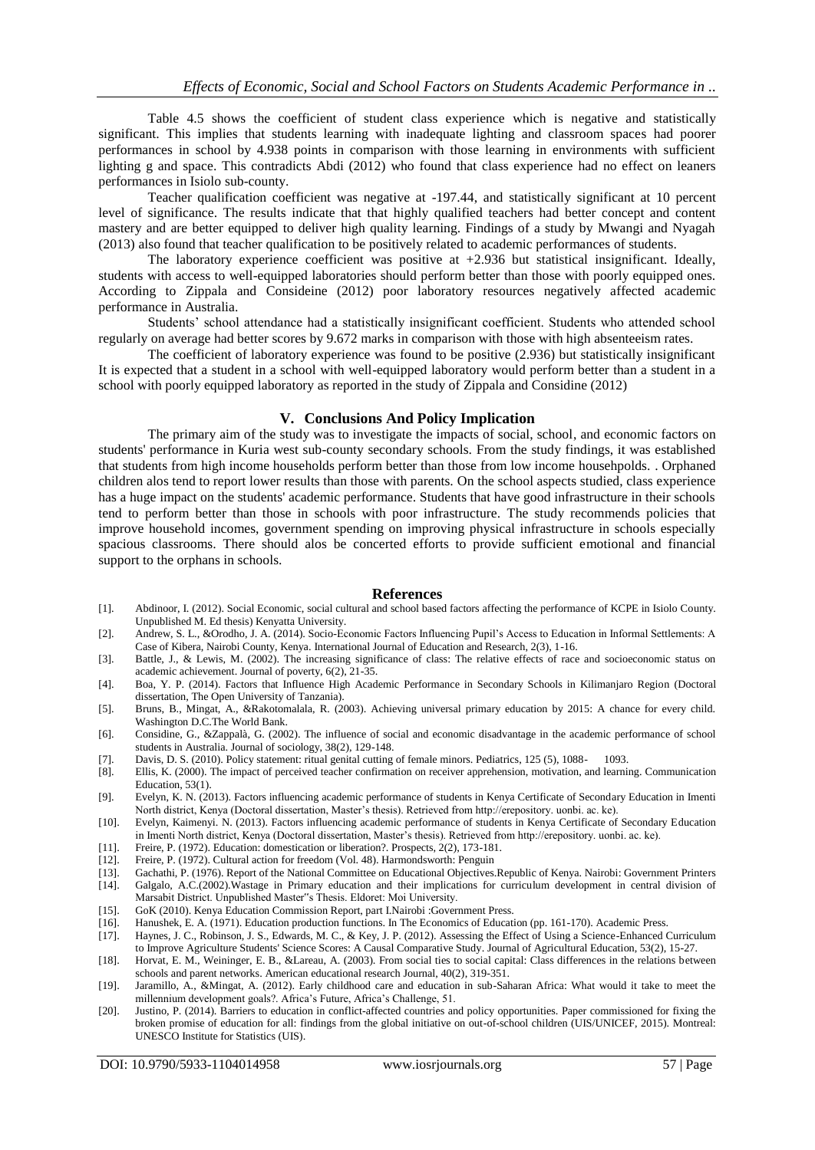Table 4.5 shows the coefficient of student class experience which is negative and statistically significant. This implies that students learning with inadequate lighting and classroom spaces had poorer performances in school by 4.938 points in comparison with those learning in environments with sufficient lighting g and space. This contradicts Abdi (2012) who found that class experience had no effect on leaners performances in Isiolo sub-county.

Teacher qualification coefficient was negative at -197.44, and statistically significant at 10 percent level of significance. The results indicate that that highly qualified teachers had better concept and content mastery and are better equipped to deliver high quality learning. Findings of a study by Mwangi and Nyagah (2013) also found that teacher qualification to be positively related to academic performances of students.

The laboratory experience coefficient was positive at  $+2.936$  but statistical insignificant. Ideally, students with access to well-equipped laboratories should perform better than those with poorly equipped ones. According to Zippala and Consideine (2012) poor laboratory resources negatively affected academic performance in Australia.

Students' school attendance had a statistically insignificant coefficient. Students who attended school regularly on average had better scores by 9.672 marks in comparison with those with high absenteeism rates.

The coefficient of laboratory experience was found to be positive (2.936) but statistically insignificant It is expected that a student in a school with well-equipped laboratory would perform better than a student in a school with poorly equipped laboratory as reported in the study of Zippala and Considine (2012)

#### **V. Conclusions And Policy Implication**

The primary aim of the study was to investigate the impacts of social, school, and economic factors on students' performance in Kuria west sub-county secondary schools. From the study findings, it was established that students from high income households perform better than those from low income househpolds. . Orphaned children alos tend to report lower results than those with parents. On the school aspects studied, class experience has a huge impact on the students' academic performance. Students that have good infrastructure in their schools tend to perform better than those in schools with poor infrastructure. The study recommends policies that improve household incomes, government spending on improving physical infrastructure in schools especially spacious classrooms. There should alos be concerted efforts to provide sufficient emotional and financial support to the orphans in schools.

#### **References**

- [1]. Abdinoor, I. (2012). Social Economic, social cultural and school based factors affecting the performance of KCPE in Isiolo County. Unpublished M. Ed thesis) Kenyatta University.
- [2]. Andrew, S. L., &Orodho, J. A. (2014). Socio-Economic Factors Influencing Pupil's Access to Education in Informal Settlements: A Case of Kibera, Nairobi County, Kenya. International Journal of Education and Research, 2(3), 1-16.
- [3]. Battle, J., & Lewis, M. (2002). The increasing significance of class: The relative effects of race and socioeconomic status on academic achievement. Journal of poverty, 6(2), 21-35.
- [4]. Boa, Y. P. (2014). Factors that Influence High Academic Performance in Secondary Schools in Kilimanjaro Region (Doctoral dissertation, The Open University of Tanzania).
- [5]. Bruns, B., Mingat, A., &Rakotomalala, R. (2003). Achieving universal primary education by 2015: A chance for every child. Washington D.C.The World Bank.
- [6]. Considine, G., &Zappalà, G. (2002). The influence of social and economic disadvantage in the academic performance of school students in Australia. Journal of sociology, 38(2), 129-148.
- [7]. Davis, D. S. (2010). Policy statement: ritual genital cutting of female minors. Pediatrics, 125 (5), 1088- 1093.
- [8]. Ellis, K. (2000). The impact of perceived teacher confirmation on receiver apprehension, motivation, and learning. Communication Education, 53(1).
- [9]. Evelyn, K. N. (2013). Factors influencing academic performance of students in Kenya Certificate of Secondary Education in Imenti North district, Kenya (Doctoral dissertation, Master's thesis). Retrieved from http://erepository. uonbi. ac. ke).
- [10]. Evelyn, Kaimenyi. N. (2013). Factors influencing academic performance of students in Kenya Certificate of Secondary Education in Imenti North district, Kenya (Doctoral dissertation, Master's thesis). Retrieved from http://erepository. uonbi. ac. ke).
- [11]. Freire, P. (1972). Education: domestication or liberation?. Prospects, 2(2), 173-181.
- [12]. Freire, P. (1972). Cultural action for freedom (Vol. 48). Harmondsworth: Penguin
- [13]. Gachathi, P. (1976). Report of the National Committee on Educational Objectives.Republic of Kenya. Nairobi: Government Printers [14]. Galgalo, A.C.(2002).Wastage in Primary education and their implications for curriculum development in central division of
- Marsabit District. Unpublished Master"s Thesis. Eldoret: Moi University.
- [15]. GoK (2010). Kenya Education Commission Report, part I.Nairobi :Government Press.
- [16]. Hanushek, E. A. (1971). Education production functions. In The Economics of Education (pp. 161-170). Academic Press. [17]. Haynes, J. C., Robinson, J. S., Edwards, M. C., & Key, J. P. (2012). Assessing the Effect of
- Haynes, J. C., Robinson, J. S., Edwards, M. C., & Key, J. P. (2012). Assessing the Effect of Using a Science-Enhanced Curriculum to Improve Agriculture Students' Science Scores: A Causal Comparative Study. Journal of Agricultural Education, 53(2), 15-27.
- [18]. Horvat, E. M., Weininger, E. B., &Lareau, A. (2003). From social ties to social capital: Class differences in the relations between schools and parent networks. American educational research Journal, 40(2), 319-351.
- [19]. Jaramillo, A., &Mingat, A. (2012). Early childhood care and education in sub-Saharan Africa: What would it take to meet the millennium development goals?. Africa's Future, Africa's Challenge, 51.
- [20]. Justino, P. (2014). Barriers to education in conflict-affected countries and policy opportunities. Paper commissioned for fixing the broken promise of education for all: findings from the global initiative on out-of-school children (UIS/UNICEF, 2015). Montreal: UNESCO Institute for Statistics (UIS).